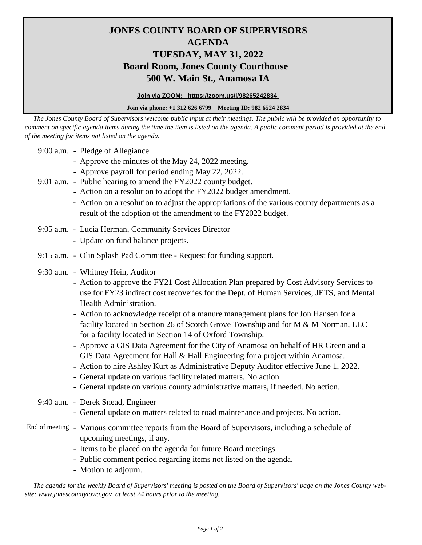## **JONES COUNTY BOARD OF SUPERVISORS AGENDA TUESDAY, MAY 31, 2022 Board Room, Jones County Courthouse 500 W. Main St., Anamosa IA**

**Join via ZOOM: https://zoom.us/j/98265242834** 

## **Join via phone: +1 312 626 6799 Meeting ID: 982 6524 2834**

 *The Jones County Board of Supervisors welcome public input at their meetings. The public will be provided an opportunity to comment on specific agenda items during the time the item is listed on the agenda. A public comment period is provided at the end of the meeting for items not listed on the agenda.*

9:00 a.m. - Pledge of Allegiance.

- Approve the minutes of the May 24, 2022 meeting.
- Approve payroll for period ending May 22, 2022.
- 9:01 a.m. Public hearing to amend the FY2022 county budget.
	- Action on a resolution to adopt the FY2022 budget amendment.
	- Action on a resolution to adjust the appropriations of the various county departments as a result of the adoption of the amendment to the FY2022 budget.
- 9:05 a.m. Lucia Herman, Community Services Director
	- Update on fund balance projects.
- 9:15 a.m. Olin Splash Pad Committee Request for funding support.
- 9:30 a.m. Whitney Hein, Auditor
	- **-** Action to approve the FY21 Cost Allocation Plan prepared by Cost Advisory Services to use for FY23 indirect cost recoveries for the Dept. of Human Services, JETS, and Mental Health Administration.
	- **-** Action to acknowledge receipt of a manure management plans for Jon Hansen for a facility located in Section 26 of Scotch Grove Township and for M & M Norman, LLC for a facility located in Section 14 of Oxford Township.
	- **-** Approve a GIS Data Agreement for the City of Anamosa on behalf of HR Green and a GIS Data Agreement for Hall & Hall Engineering for a project within Anamosa.
	- **-** Action to hire Ashley Kurt as Administrative Deputy Auditor effective June 1, 2022.
	- General update on various facility related matters. No action.
	- General update on various county administrative matters, if needed. No action.
- 9:40 a.m. Derek Snead, Engineer
	- General update on matters related to road maintenance and projects. No action.
- End of meeting Various committee reports from the Board of Supervisors, including a schedule of upcoming meetings, if any.
	- Items to be placed on the agenda for future Board meetings.
	- Public comment period regarding items not listed on the agenda.
	- Motion to adjourn.

 *The agenda for the weekly Board of Supervisors' meeting is posted on the Board of Supervisors' page on the Jones County website: www.jonescountyiowa.gov at least 24 hours prior to the meeting.*